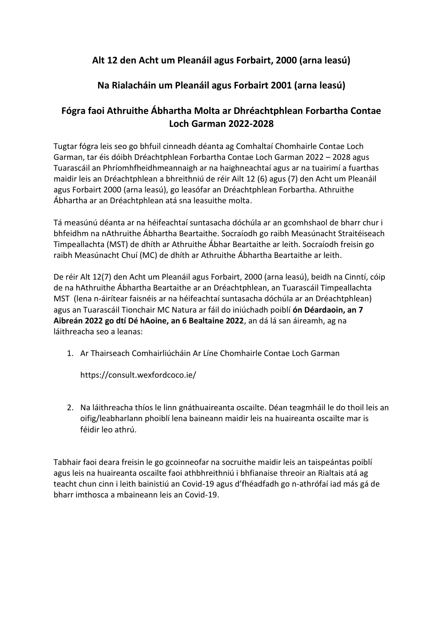# **Alt 12 den Acht um Pleanáil agus Forbairt, 2000 (arna leasú)**

# **Na Rialacháin um Pleanáil agus Forbairt 2001 (arna leasú)**

# **Fógra faoi Athruithe Ábhartha Molta ar Dhréachtphlean Forbartha Contae Loch Garman 2022-2028**

Tugtar fógra leis seo go bhfuil cinneadh déanta ag Comhaltaí Chomhairle Contae Loch Garman, tar éis dóibh Dréachtphlean Forbartha Contae Loch Garman 2022 – 2028 agus Tuarascáil an Phríomhfheidhmeannaigh ar na haighneachtaí agus ar na tuairimí a fuarthas maidir leis an Dréachtphlean a bhreithniú de réir Ailt 12 (6) agus (7) den Acht um Pleanáil agus Forbairt 2000 (arna leasú), go leasófar an Dréachtphlean Forbartha. Athruithe Ábhartha ar an Dréachtphlean atá sna leasuithe molta.

Tá measúnú déanta ar na héifeachtaí suntasacha dóchúla ar an gcomhshaol de bharr chur i bhfeidhm na nAthruithe Ábhartha Beartaithe. Socraíodh go raibh Measúnacht Straitéiseach Timpeallachta (MST) de dhíth ar Athruithe Ábhar Beartaithe ar leith. Socraíodh freisin go raibh Measúnacht Chuí (MC) de dhíth ar Athruithe Ábhartha Beartaithe ar leith.

De réir Alt 12(7) den Acht um Pleanáil agus Forbairt, 2000 (arna leasú), beidh na Cinntí, cóip de na hAthruithe Ábhartha Beartaithe ar an Dréachtphlean, an Tuarascáil Timpeallachta MST (lena n-áirítear faisnéis ar na héifeachtaí suntasacha dóchúla ar an Dréachtphlean) agus an Tuarascáil Tionchair MC Natura ar fáil do iniúchadh poiblí **ón Déardaoin, an 7 Aibreán 2022 go dtí Dé hAoine, an 6 Bealtaine 2022**, an dá lá san áireamh, ag na láithreacha seo a leanas:

1. Ar Thairseach Comhairliúcháin Ar Líne Chomhairle Contae Loch Garman

<https://consult.wexfordcoco.ie/>

2. Na láithreacha thíos le linn gnáthuaireanta oscailte. Déan teagmháil le do thoil leis an oifig/leabharlann phoiblí lena baineann maidir leis na huaireanta oscailte mar is féidir leo athrú.

Tabhair faoi deara freisin le go gcoinneofar na socruithe maidir leis an taispeántas poiblí agus leis na huaireanta oscailte faoi athbhreithniú i bhfianaise threoir an Rialtais atá ag teacht chun cinn i leith bainistiú an Covid-19 agus d'fhéadfadh go n-athrófaí iad más gá de bharr imthosca a mbaineann leis an Covid-19.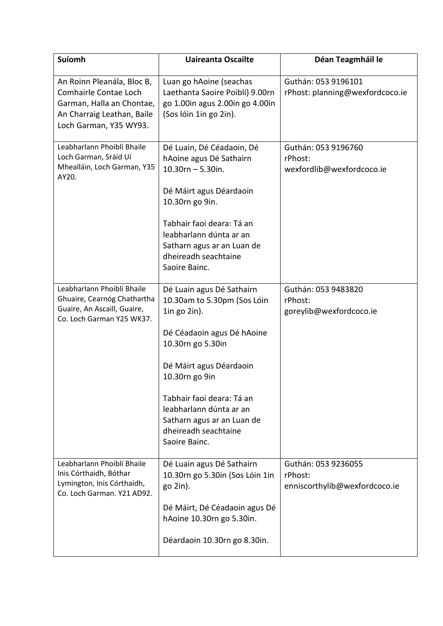| Suíomh                                                                                                                                   | <b>Uaireanta Oscailte</b>                                                                                                                                                                                                                                                                                     | Déan Teagmháil le                                               |
|------------------------------------------------------------------------------------------------------------------------------------------|---------------------------------------------------------------------------------------------------------------------------------------------------------------------------------------------------------------------------------------------------------------------------------------------------------------|-----------------------------------------------------------------|
| An Roinn Pleanála, Bloc B,<br>Comhairle Contae Loch<br>Garman, Halla an Chontae,<br>An Charraig Leathan, Baile<br>Loch Garman, Y35 WY93. | Luan go hAoine (seachas<br>Laethanta Saoire Poiblí) 9.00rn<br>go 1.00in agus 2.00in go 4.00in<br>(Sos lóin 1in go 2in).                                                                                                                                                                                       | Guthán: 053 9196101<br>rPhost: planning@wexfordcoco.ie          |
| Leabharlann Phoiblí Bhaile<br>Loch Garman, Sráid Uí<br>Mhealláin, Loch Garman, Y35<br>AY20.                                              | Dé Luain, Dé Céadaoin, Dé<br>hAoine agus Dé Sathairn<br>$10.30rn - 5.30in.$<br>Dé Máirt agus Déardaoin<br>10.30rn go 9in.<br>Tabhair faoi deara: Tá an<br>leabharlann dúnta ar an<br>Satharn agus ar an Luan de<br>dheireadh seachtaine<br>Saoire Bainc.                                                      | Guthán: 053 9196760<br>rPhost:<br>wexfordlib@wexfordcoco.ie     |
| Leabharlann Phoiblí Bhaile<br>Ghuaire, Cearnóg Chathartha<br>Guaire, An Ascaill, Guaire,<br>Co. Loch Garman Y25 WK37.                    | Dé Luain agus Dé Sathairn<br>10.30am to 5.30pm (Sos Lóin<br>$1$ in go $2$ in).<br>Dé Céadaoin agus Dé hAoine<br>10.30rn go 5.30in<br>Dé Máirt agus Déardaoin<br>10.30rn go 9in<br>Tabhair faoi deara: Tá an<br>leabharlann dúnta ar an<br>Satharn agus ar an Luan de<br>dheireadh seachtaine<br>Saoire Bainc. | Guthán: 053 9483820<br>rPhost:<br>goreylib@wexfordcoco.ie       |
| Leabharlann Phoiblí Bhaile<br>Inis Córthaidh, Bóthar<br>Lymington, Inis Córthaidh,<br>Co. Loch Garman, Y21 AD92.                         | Dé Luain agus Dé Sathairn<br>10.30rn go 5.30in (Sos Lóin 1in<br>$go 2in$ ).<br>Dé Máirt, Dé Céadaoin agus Dé<br>hAoine 10.30rn go 5.30in.<br>Déardaoin 10.30rn go 8.30in.                                                                                                                                     | Guthán: 053 9236055<br>rPhost:<br>enniscorthylib@wexfordcoco.ie |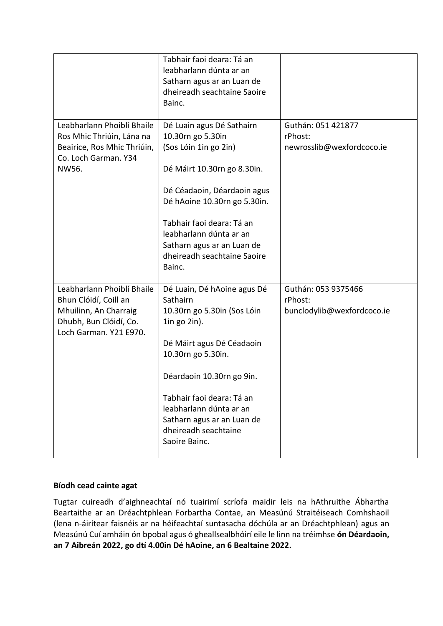|                                                                                                                                  | Tabhair faoi deara: Tá an<br>leabharlann dúnta ar an<br>Satharn agus ar an Luan de<br>dheireadh seachtaine Saoire<br>Bainc.                                                                                                                                                                                 |                                                              |
|----------------------------------------------------------------------------------------------------------------------------------|-------------------------------------------------------------------------------------------------------------------------------------------------------------------------------------------------------------------------------------------------------------------------------------------------------------|--------------------------------------------------------------|
| Leabharlann Phoiblí Bhaile<br>Ros Mhic Thriúin, Lána na<br>Beairice, Ros Mhic Thriúin,<br>Co. Loch Garman. Y34<br>NW56.          | Dé Luain agus Dé Sathairn<br>10.30rn go 5.30in<br>(Sos Lóin 1in go 2in)<br>Dé Máirt 10.30rn go 8.30in.<br>Dé Céadaoin, Déardaoin agus<br>Dé hAoine 10.30rn go 5.30in.<br>Tabhair faoi deara: Tá an<br>leabharlann dúnta ar an<br>Satharn agus ar an Luan de<br>dheireadh seachtaine Saoire<br>Bainc.        | Guthán: 051 421877<br>rPhost:<br>newrosslib@wexfordcoco.ie   |
| Leabharlann Phoiblí Bhaile<br>Bhun Clóidí, Coill an<br>Mhuilinn, An Charraig<br>Dhubh, Bun Clóidí, Co.<br>Loch Garman. Y21 E970. | Dé Luain, Dé hAoine agus Dé<br>Sathairn<br>10.30rn go 5.30in (Sos Lóin<br>$1$ in go $2$ in).<br>Dé Máirt agus Dé Céadaoin<br>10.30rn go 5.30in.<br>Déardaoin 10.30rn go 9in.<br>Tabhair faoi deara: Tá an<br>leabharlann dúnta ar an<br>Satharn agus ar an Luan de<br>dheireadh seachtaine<br>Saoire Bainc. | Guthán: 053 9375466<br>rPhost:<br>bunclodylib@wexfordcoco.ie |

#### **Bíodh cead cainte agat**

Tugtar cuireadh d'aighneachtaí nó tuairimí scríofa maidir leis na hAthruithe Ábhartha Beartaithe ar an Dréachtphlean Forbartha Contae, an Measúnú Straitéiseach Comhshaoil (lena n-áirítear faisnéis ar na héifeachtaí suntasacha dóchúla ar an Dréachtphlean) agus an Measúnú Cuí amháin ón bpobal agus ó gheallsealbhóirí eile le linn na tréimhse **ón Déardaoin, an 7 Aibreán 2022, go dtí 4.00in Dé hAoine, an 6 Bealtaine 2022.**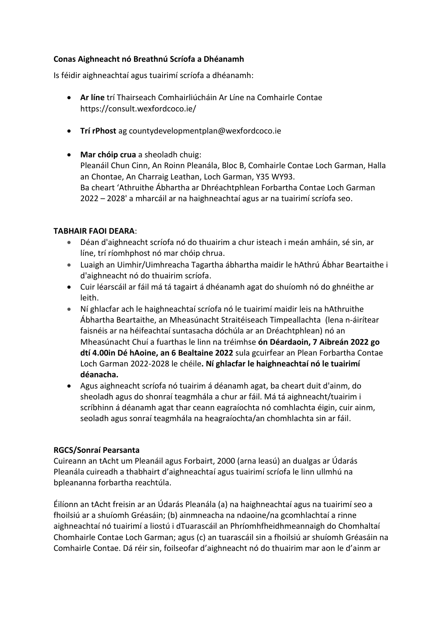#### **Conas Aighneacht nó Breathnú Scríofa a Dhéanamh**

Is féidir aighneachtaí agus tuairimí scríofa a dhéanamh:

- **Ar líne** trí Thairseach Comhairliúcháin Ar Líne na Comhairle Contae <https://consult.wexfordcoco.ie/>
- **Trí rPhost** ag countydevelopmentplan@wexfordcoco.ie
- **Mar chóip crua** a sheoladh chuig: Pleanáil Chun Cinn, An Roinn Pleanála, Bloc B, Comhairle Contae Loch Garman, Halla an Chontae, An Charraig Leathan, Loch Garman, Y35 WY93. Ba cheart 'Athruithe Ábhartha ar Dhréachtphlean Forbartha Contae Loch Garman 2022 – 2028' a mharcáil ar na haighneachtaí agus ar na tuairimí scríofa seo.

### **TABHAIR FAOI DEARA**:

- Déan d'aighneacht scríofa nó do thuairim a chur isteach i meán amháin, sé sin, ar líne, trí ríomhphost nó mar chóip chrua.
- Luaigh an Uimhir/Uimhreacha Tagartha ábhartha maidir le hAthrú Ábhar Beartaithe i d'aighneacht nó do thuairim scríofa.
- Cuir léarscáil ar fáil má tá tagairt á dhéanamh agat do shuíomh nó do ghnéithe ar leith.
- Ní ghlacfar ach le haighneachtaí scríofa nó le tuairimí maidir leis na hAthruithe Ábhartha Beartaithe, an Mheasúnacht Straitéiseach Timpeallachta (lena n-áirítear faisnéis ar na héifeachtaí suntasacha dóchúla ar an Dréachtphlean) nó an Mheasúnacht Chuí a fuarthas le linn na tréimhse **ón Déardaoin, 7 Aibreán 2022 go dtí 4.00in Dé hAoine, an 6 Bealtaine 2022** sula gcuirfear an Plean Forbartha Contae Loch Garman 2022-2028 le chéile**. Ní ghlacfar le haighneachtaí nó le tuairimí déanacha.**
- Agus aighneacht scríofa nó tuairim á déanamh agat, ba cheart duit d'ainm, do sheoladh agus do shonraí teagmhála a chur ar fáil. Má tá aighneacht/tuairim i scríbhinn á déanamh agat thar ceann eagraíochta nó comhlachta éigin, cuir ainm, seoladh agus sonraí teagmhála na heagraíochta/an chomhlachta sin ar fáil.

### **RGCS/Sonraí Pearsanta**

Cuireann an tAcht um Pleanáil agus Forbairt, 2000 (arna leasú) an dualgas ar Údarás Pleanála cuireadh a thabhairt d'aighneachtaí agus tuairimí scríofa le linn ullmhú na bpleananna forbartha reachtúla.

Éilíonn an tAcht freisin ar an Údarás Pleanála (a) na haighneachtaí agus na tuairimí seo a fhoilsiú ar a shuíomh Gréasáin; (b) ainmneacha na ndaoine/na gcomhlachtaí a rinne aighneachtaí nó tuairimí a liostú i dTuarascáil an Phríomhfheidhmeannaigh do Chomhaltaí Chomhairle Contae Loch Garman; agus (c) an tuarascáil sin a fhoilsiú ar shuíomh Gréasáin na Comhairle Contae. Dá réir sin, foilseofar d'aighneacht nó do thuairim mar aon le d'ainm ar